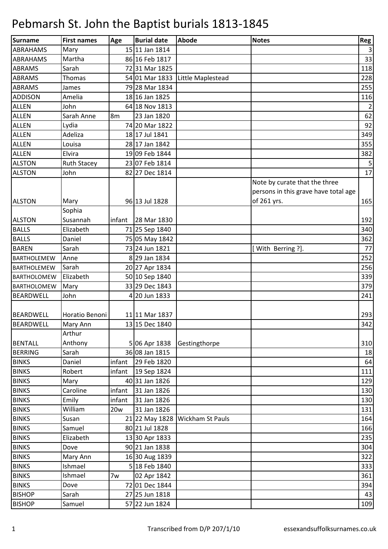| Surname            | <b>First names</b> | Age            | <b>Burial date</b> | Abode                           | <b>Notes</b>                         | <b>Reg</b>     |
|--------------------|--------------------|----------------|--------------------|---------------------------------|--------------------------------------|----------------|
| <b>ABRAHAMS</b>    | Mary               |                | 15 11 Jan 1814     |                                 |                                      | $\vert$ 3      |
| <b>ABRAHAMS</b>    | Martha             |                | 86 16 Feb 1817     |                                 |                                      | 33             |
| <b>ABRAMS</b>      | Sarah              |                | 7231 Mar 1825      |                                 |                                      | 118            |
| <b>ABRAMS</b>      | Thomas             |                | 54 01 Mar 1833     | Little Maplestead               |                                      | 228            |
| <b>ABRAMS</b>      | James              |                | 79 28 Mar 1834     |                                 |                                      | 255            |
| <b>ADDISON</b>     | Amelia             |                | 18 16 Jan 1825     |                                 |                                      | 116            |
| <b>ALLEN</b>       | John               |                | 64 18 Nov 1813     |                                 |                                      | $\overline{2}$ |
| <b>ALLEN</b>       | Sarah Anne         | 8 <sub>m</sub> | 23 Jan 1820        |                                 |                                      | 62             |
| <b>ALLEN</b>       | Lydia              |                | 74 20 Mar 1822     |                                 |                                      | 92             |
| <b>ALLEN</b>       | Adeliza            |                | 18 17 Jul 1841     |                                 |                                      | 349            |
| <b>ALLEN</b>       | Louisa             |                | 28 17 Jan 1842     |                                 |                                      | 355            |
| <b>ALLEN</b>       | Elvira             |                | 19 09 Feb 1844     |                                 |                                      | 382            |
| <b>ALSTON</b>      | <b>Ruth Stacey</b> |                | 23 07 Feb 1814     |                                 |                                      | 5              |
| <b>ALSTON</b>      | John               |                | 82 27 Dec 1814     |                                 |                                      | 17             |
|                    |                    |                |                    |                                 | Note by curate that the three        |                |
|                    |                    |                |                    |                                 | persons in this grave have total age |                |
| <b>ALSTON</b>      | Mary               |                | 96 13 Jul 1828     |                                 | of 261 yrs.                          | 165            |
|                    | Sophia             |                |                    |                                 |                                      |                |
| <b>ALSTON</b>      | Susannah           | infant         | 28 Mar 1830        |                                 |                                      | 192            |
| <b>BALLS</b>       | Elizabeth          |                | 71 25 Sep 1840     |                                 |                                      | 340            |
| <b>BALLS</b>       | Daniel             |                | 75 05 May 1842     |                                 |                                      | 362            |
| <b>BAREN</b>       | Sarah              |                | 73 24 Jun 1821     |                                 | [With Berring ?].                    | 77             |
| <b>BARTHOLEMEW</b> | Anne               |                | 8 29 Jan 1834      |                                 |                                      | 252            |
| <b>BARTHOLEMEW</b> | Sarah              |                | 20 27 Apr 1834     |                                 |                                      | 256            |
| <b>BARTHOLOMEW</b> | Elizabeth          |                | 50 10 Sep 1840     |                                 |                                      | 339            |
| BARTHOLOMEW        | Mary               |                | 33 29 Dec 1843     |                                 |                                      | 379            |
| <b>BEARDWELL</b>   | John               |                | 4 20 Jun 1833      |                                 |                                      | 241            |
|                    |                    |                |                    |                                 |                                      |                |
| <b>BEARDWELL</b>   | Horatio Benoni     |                | 11 11 Mar 1837     |                                 |                                      | 293            |
| <b>BEARDWELL</b>   | Mary Ann           |                | 13 15 Dec 1840     |                                 |                                      | 342            |
|                    | Arthur             |                |                    |                                 |                                      |                |
| <b>BENTALL</b>     | Anthony            |                | 5 06 Apr 1838      | Gestingthorpe                   |                                      | 310            |
| <b>BERRING</b>     | Sarah              |                | 36 08 Jan 1815     |                                 |                                      | 18             |
| <b>BINKS</b>       | Daniel             | infant         | 29 Feb 1820        |                                 |                                      | 64             |
| <b>BINKS</b>       | Robert             | infant         | 19 Sep 1824        |                                 |                                      | 111            |
| <b>BINKS</b>       | Mary               |                | 40 31 Jan 1826     |                                 |                                      | 129            |
| <b>BINKS</b>       | Caroline           | infant         | 31 Jan 1826        |                                 |                                      | 130            |
| <b>BINKS</b>       | Emily              | infant         | 31 Jan 1826        |                                 |                                      | 130            |
| <b>BINKS</b>       | William            | <b>20w</b>     | 31 Jan 1826        |                                 |                                      | 131            |
| <b>BINKS</b>       | Susan              |                |                    | 21 22 May 1828 Wickham St Pauls |                                      | 164            |
| <b>BINKS</b>       | Samuel             |                | 80 21 Jul 1828     |                                 |                                      | 166            |
| <b>BINKS</b>       | Elizabeth          |                | 13 30 Apr 1833     |                                 |                                      | 235            |
| <b>BINKS</b>       | Dove               |                | 90 21 Jan 1838     |                                 |                                      | 304            |
| <b>BINKS</b>       | Mary Ann           |                | 16 30 Aug 1839     |                                 |                                      | 322            |
| <b>BINKS</b>       | Ishmael            |                | 5 18 Feb 1840      |                                 |                                      | 333            |
| <b>BINKS</b>       | Ishmael            | 7w             | 02 Apr 1842        |                                 |                                      | 361            |
| <b>BINKS</b>       | Dove               |                | 72 01 Dec 1844     |                                 |                                      | 394            |
| <b>BISHOP</b>      | Sarah              |                | 27 25 Jun 1818     |                                 |                                      | 43             |
| <b>BISHOP</b>      | Samuel             |                | 57 22 Jun 1824     |                                 |                                      | 109            |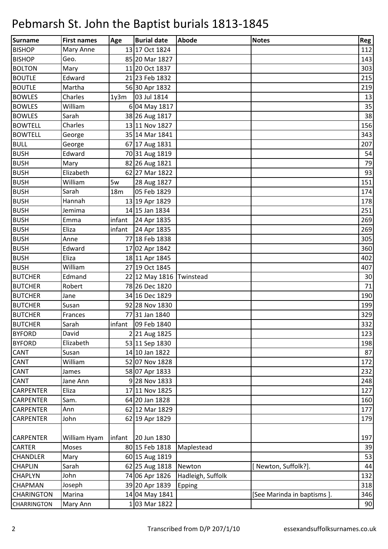| <b>Surname</b>     | <b>First names</b> | Age             | <b>Burial date</b>       | <b>Abode</b>      | <b>Notes</b>               | Reg    |
|--------------------|--------------------|-----------------|--------------------------|-------------------|----------------------------|--------|
| <b>BISHOP</b>      | Mary Anne          |                 | 13 17 Oct 1824           |                   |                            | 112    |
| <b>BISHOP</b>      | Geo.               |                 | 85 20 Mar 1827           |                   |                            | 143    |
| <b>BOLTON</b>      | Mary               |                 | 11 20 Oct 1837           |                   |                            | 303    |
| <b>BOUTLE</b>      | Edward             |                 | 21 23 Feb 1832           |                   |                            | 215    |
| <b>BOUTLE</b>      | Martha             |                 | 56 30 Apr 1832           |                   |                            | 219    |
| <b>BOWLES</b>      | Charles            | 1y3m            | 03 Jul 1814              |                   |                            | 13     |
| <b>BOWLES</b>      | William            |                 | 6 04 May 1817            |                   |                            | 35     |
| <b>BOWLES</b>      | Sarah              |                 | 38 26 Aug 1817           |                   |                            | 38     |
| <b>BOWTELL</b>     | Charles            |                 | 13 11 Nov 1827           |                   |                            | 156    |
| <b>BOWTELL</b>     | George             |                 | 35 14 Mar 1841           |                   |                            | 343    |
| <b>BULL</b>        | George             |                 | 67 17 Aug 1831           |                   |                            | 207    |
| <b>BUSH</b>        | Edward             |                 | 70 31 Aug 1819           |                   |                            | 54     |
| <b>BUSH</b>        | Mary               |                 | 82 26 Aug 1821           |                   |                            | 79     |
| <b>BUSH</b>        | Elizabeth          |                 | 62 27 Mar 1822           |                   |                            | 93     |
| <b>BUSH</b>        | William            | 5w              | 28 Aug 1827              |                   |                            | 151    |
| <b>BUSH</b>        | Sarah              | 18 <sub>m</sub> | 05 Feb 1829              |                   |                            | 174    |
| <b>BUSH</b>        | Hannah             |                 | 13 19 Apr 1829           |                   |                            | 178    |
| <b>BUSH</b>        | Jemima             |                 | 14 15 Jan 1834           |                   |                            | 251    |
| <b>BUSH</b>        | Emma               | infant          | 24 Apr 1835              |                   |                            | 269    |
| <b>BUSH</b>        | Eliza              | infant          | 24 Apr 1835              |                   |                            | 269    |
| <b>BUSH</b>        | Anne               |                 | 77 18 Feb 1838           |                   |                            | 305    |
| <b>BUSH</b>        | Edward             |                 | 17 02 Apr 1842           |                   |                            | 360    |
| <b>BUSH</b>        | Eliza              |                 | 18 11 Apr 1845           |                   |                            | 402    |
| <b>BUSH</b>        | William            |                 | 27 19 Oct 1845           |                   |                            | 407    |
| <b>BUTCHER</b>     | Edmand             |                 | 22 12 May 1816 Twinstead |                   |                            | 30     |
| <b>BUTCHER</b>     | Robert             |                 | 78 26 Dec 1820           |                   |                            | 71     |
| <b>BUTCHER</b>     | Jane               |                 | 34 16 Dec 1829           |                   |                            | 190    |
| <b>BUTCHER</b>     | Susan              |                 | 92 28 Nov 1830           |                   |                            | 199    |
| <b>BUTCHER</b>     | Frances            |                 | 77 31 Jan 1840           |                   |                            | 329    |
| <b>BUTCHER</b>     | Sarah              | infant          | 09 Feb 1840              |                   |                            | 332    |
| <b>BYFORD</b>      | David              |                 | 2 21 Aug 1825            |                   |                            | 123    |
| <b>BYFORD</b>      | Elizabeth          |                 | 53 11 Sep 1830           |                   |                            | 198    |
| <b>CANT</b>        | Susan              |                 | 14 10 Jan 1822           |                   |                            | 87     |
| <b>CANT</b>        | William            |                 | 52 07 Nov 1828           |                   |                            | 172    |
| <b>CANT</b>        | James              |                 | 58 07 Apr 1833           |                   |                            | 232    |
| <b>CANT</b>        | Jane Ann           |                 | 9 28 Nov 1833            |                   |                            | 248    |
| <b>CARPENTER</b>   | Eliza              |                 | 17 11 Nov 1825           |                   |                            | 127    |
| <b>CARPENTER</b>   | Sam.               |                 | 64 20 Jan 1828           |                   |                            | 160    |
| <b>CARPENTER</b>   | Ann                |                 | 62 12 Mar 1829           |                   |                            | 177    |
| <b>CARPENTER</b>   | John               |                 | 62 19 Apr 1829           |                   |                            | 179    |
|                    |                    |                 |                          |                   |                            |        |
| <b>CARPENTER</b>   | William Hyam       | infant          | 20 Jun 1830              |                   |                            | 197    |
| <b>CARTER</b>      | Moses              |                 | 80 15 Feb 1818           | Maplestead        |                            | 39     |
| <b>CHANDLER</b>    | Mary               |                 | 60 15 Aug 1819           |                   |                            | 53     |
| <b>CHAPLIN</b>     | Sarah              |                 | 62 25 Aug 1818           | Newton            | [Newton, Suffolk?].        | $44\,$ |
| <b>CHAPLYN</b>     | John               |                 | 74 06 Apr 1826           | Hadleigh, Suffolk |                            | 132    |
| <b>CHAPMAN</b>     | Joseph             |                 | 39 20 Apr 1839           | Epping            |                            | 318    |
| <b>CHARINGTON</b>  | Marina             |                 | 14 04 May 1841           |                   | [See Marinda in baptisms]. | 346    |
| <b>CHARRINGTON</b> | Mary Ann           |                 | 103 Mar 1822             |                   |                            | 90     |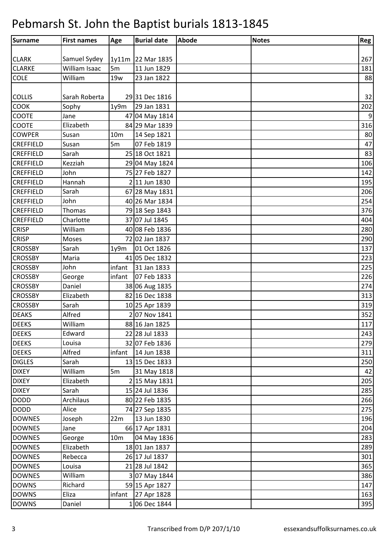| Surname          | <b>First names</b> | Age             | <b>Burial date</b> | Abode | <b>Notes</b> | Reg   |
|------------------|--------------------|-----------------|--------------------|-------|--------------|-------|
|                  |                    |                 |                    |       |              |       |
| <b>CLARK</b>     | Samuel Sydey       |                 | 1y11m 22 Mar 1835  |       |              | 267   |
| <b>CLARKE</b>    | William Isaac      | 5 <sub>m</sub>  | 11 Jun 1829        |       |              | 181   |
| <b>COLE</b>      | William            | <b>19w</b>      | 23 Jan 1822        |       |              | 88    |
|                  |                    |                 |                    |       |              |       |
| <b>COLLIS</b>    | Sarah Roberta      |                 | 29 31 Dec 1816     |       |              | 32    |
| <b>COOK</b>      | Sophy              | 1y9m            | 29 Jan 1831        |       |              | 202   |
| <b>COOTE</b>     | Jane               |                 | 47 04 May 1814     |       |              | $9\,$ |
| <b>COOTE</b>     | Elizabeth          |                 | 84 29 Mar 1839     |       |              | 316   |
| <b>COWPER</b>    | Susan              | 10 <sub>m</sub> | 14 Sep 1821        |       |              | 80    |
| <b>CREFFIELD</b> | Susan              | 5m              | 07 Feb 1819        |       |              | 47    |
| <b>CREFFIELD</b> | Sarah              |                 | 25 18 Oct 1821     |       |              | 83    |
| <b>CREFFIELD</b> | Kezziah            |                 | 29 04 May 1824     |       |              | 106   |
| <b>CREFFIELD</b> | John               |                 | 75 27 Feb 1827     |       |              | 142   |
| <b>CREFFIELD</b> | Hannah             |                 | 2 11 Jun 1830      |       |              | 195   |
| <b>CREFFIELD</b> | Sarah              |                 | 67 28 May 1831     |       |              | 206   |
| <b>CREFFIELD</b> | John               |                 | 40 26 Mar 1834     |       |              | 254   |
| <b>CREFFIELD</b> | <b>Thomas</b>      |                 | 79 18 Sep 1843     |       |              | 376   |
| <b>CREFFIELD</b> | Charlotte          |                 | 37 07 Jul 1845     |       |              | 404   |
| <b>CRISP</b>     | William            |                 | 40 08 Feb 1836     |       |              | 280   |
| <b>CRISP</b>     | Moses              |                 | 72 02 Jan 1837     |       |              | 290   |
| <b>CROSSBY</b>   | Sarah              | 1y9m            | 01 Oct 1826        |       |              | 137   |
| <b>CROSSBY</b>   | Maria              |                 | 41 05 Dec 1832     |       |              | 223   |
| <b>CROSSBY</b>   | John               | infant          | 31 Jan 1833        |       |              | 225   |
| <b>CROSSBY</b>   | George             | infant          | 07 Feb 1833        |       |              | 226   |
| <b>CROSSBY</b>   | Daniel             |                 | 38 06 Aug 1835     |       |              | 274   |
| <b>CROSSBY</b>   | Elizabeth          |                 | 82 16 Dec 1838     |       |              | 313   |
| <b>CROSSBY</b>   | Sarah              |                 | 10 25 Apr 1839     |       |              | 319   |
| <b>DEAKS</b>     | Alfred             |                 | 2 07 Nov 1841      |       |              | 352   |
| <b>DEEKS</b>     | William            |                 | 88 16 Jan 1825     |       |              | 117   |
| <b>DEEKS</b>     | Edward             |                 | 22 28 Jul 1833     |       |              | 243   |
| <b>DEEKS</b>     | Louisa             |                 | 32 07 Feb 1836     |       |              | 279   |
| <b>DEEKS</b>     | Alfred             | infant          | 14 Jun 1838        |       |              | 311   |
| <b>DIGLES</b>    | Sarah              |                 | 13 15 Dec 1833     |       |              | 250   |
| <b>DIXEY</b>     | William            | 5m              | 31 May 1818        |       |              | 42    |
| <b>DIXEY</b>     | Elizabeth          |                 | 2 15 May 1831      |       |              | 205   |
| <b>DIXEY</b>     | Sarah              |                 | 15 24 Jul 1836     |       |              | 285   |
| <b>DODD</b>      | Archilaus          |                 | 80 22 Feb 1835     |       |              | 266   |
| <b>DODD</b>      | Alice              |                 | 74 27 Sep 1835     |       |              | 275   |
| <b>DOWNES</b>    | Joseph             | 22m             | 13 Jun 1830        |       |              | 196   |
| <b>DOWNES</b>    | Jane               |                 | 66 17 Apr 1831     |       |              | 204   |
| <b>DOWNES</b>    | George             | 10 <sub>m</sub> | 04 May 1836        |       |              | 283   |
| <b>DOWNES</b>    | Elizabeth          |                 | 18 01 Jan 1837     |       |              | 289   |
| <b>DOWNES</b>    | Rebecca            |                 | 26 17 Jul 1837     |       |              | 301   |
| <b>DOWNES</b>    | Louisa             |                 | 21 28 Jul 1842     |       |              | 365   |
| <b>DOWNES</b>    | William            |                 | 3 07 May 1844      |       |              | 386   |
| <b>DOWNS</b>     | Richard            |                 | 59 15 Apr 1827     |       |              | 147   |
| <b>DOWNS</b>     | Eliza              | infant          | 27 Apr 1828        |       |              | 163   |
| <b>DOWNS</b>     | Daniel             |                 | 106 Dec 1844       |       |              | 395   |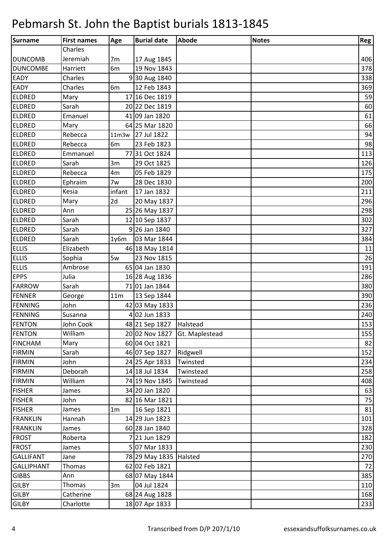| Surname           | <b>First names</b> | Age             | <b>Burial date</b>        | Abode                         | <b>Notes</b> | Reg |
|-------------------|--------------------|-----------------|---------------------------|-------------------------------|--------------|-----|
|                   | Charles            |                 |                           |                               |              |     |
| <b>DUNCOMB</b>    | Jeremiah           | 7 <sub>m</sub>  | 17 Aug 1845               |                               |              | 406 |
| <b>DUNCOMBE</b>   | Harriett           | 6m              | 19 Nov 1843               |                               |              | 378 |
| <b>EADY</b>       | Charles            |                 | 930 Aug 1840              |                               |              | 338 |
| EADY              | Charles            | 6 <sub>m</sub>  | 12 Feb 1843               |                               |              | 369 |
| <b>ELDRED</b>     | Mary               |                 | 17 16 Dec 1819            |                               |              | 59  |
| <b>ELDRED</b>     | Sarah              |                 | 20 22 Dec 1819            |                               |              | 60  |
| <b>ELDRED</b>     | Emanuel            |                 | 41 09 Jan 1820            |                               |              | 61  |
| <b>ELDRED</b>     | Mary               |                 | 64 25 Mar 1820            |                               |              | 66  |
| <b>ELDRED</b>     | Rebecca            |                 | 11m3w 27 Jul 1822         |                               |              | 94  |
| <b>ELDRED</b>     | Rebecca            | 6 <sub>m</sub>  | 23 Feb 1823               |                               |              | 98  |
| <b>ELDRED</b>     | Emmanuel           |                 | 7731 Oct 1824             |                               |              | 113 |
| <b>ELDRED</b>     | Sarah              | 3m              | 29 Oct 1825               |                               |              | 126 |
| <b>ELDRED</b>     | Rebecca            | 4m              | 05 Feb 1829               |                               |              | 175 |
| <b>ELDRED</b>     | Ephraim            | 7w              | 28 Dec 1830               |                               |              | 200 |
| <b>ELDRED</b>     | Kesia              | infant          | 17 Jan 1832               |                               |              | 211 |
| <b>ELDRED</b>     | Mary               | 2d              | 20 May 1837               |                               |              | 296 |
| <b>ELDRED</b>     | Ann                |                 | 25 26 May 1837            |                               |              | 298 |
| <b>ELDRED</b>     | Sarah              |                 | 12 10 Sep 1837            |                               |              | 302 |
| <b>ELDRED</b>     | Sarah              |                 | 9 26 Jan 1840             |                               |              | 327 |
| <b>ELDRED</b>     | Sarah              | 1y6m            | 03 Mar 1844               |                               |              | 384 |
| <b>ELLIS</b>      | Elizabeth          |                 | 46 18 May 1814            |                               |              | 11  |
| <b>ELLIS</b>      | Sophia             | 5w              | 23 Nov 1815               |                               |              | 26  |
| <b>ELLIS</b>      | Ambrose            |                 | 65 04 Jan 1830            |                               |              | 191 |
| <b>EPPS</b>       | Julia              |                 | 16 28 Aug 1836            |                               |              | 286 |
| <b>FARROW</b>     | Sarah              |                 | 71 01 Jan 1844            |                               |              | 380 |
| FENNER            | George             | 11 <sub>m</sub> | 13 Sep 1844               |                               |              | 390 |
| <b>FENNING</b>    | John               |                 | 42 03 May 1833            |                               |              | 236 |
| <b>FENNING</b>    | Susanna            |                 | 4 02 Jun 1833             |                               |              | 240 |
| <b>FENTON</b>     | John Cook          |                 | 48 21 Sep 1827   Halstead |                               |              | 153 |
| <b>FENTON</b>     | William            |                 |                           | 20 02 Nov 1827 Gt. Maplestead |              | 155 |
| <b>FINCHAM</b>    | Mary               |                 | 60 04 Oct 1821            |                               |              | 82  |
| <b>FIRMIN</b>     | Sarah              |                 | 46 07 Sep 1827            | Ridgwell                      |              | 152 |
| <b>FIRMIN</b>     | John               |                 | 24 25 Apr 1833            | Twinsted                      |              | 234 |
| <b>FIRMIN</b>     | Deborah            |                 | 14 18 Jul 1834            | Twinstead                     |              | 258 |
| <b>FIRMIN</b>     | William            |                 | 74 19 Nov 1845            | Twinstead                     |              | 408 |
| <b>FISHER</b>     | James              |                 | 34 20 Jan 1820            |                               |              | 63  |
| <b>FISHER</b>     | John               |                 | 82 16 Mar 1821            |                               |              | 75  |
| <b>FISHER</b>     | James              | 1 <sub>m</sub>  | 16 Sep 1821               |                               |              | 81  |
| <b>FRANKLIN</b>   | Hannah             |                 | 14 29 Jun 1823            |                               |              | 101 |
| <b>FRANKLIN</b>   | James              |                 | 60 28 Jan 1840            |                               |              | 328 |
| <b>FROST</b>      | Roberta            |                 | 7 21 Jun 1829             |                               |              | 182 |
| <b>FROST</b>      | James              |                 | 507 Mar 1833              |                               |              | 230 |
| <b>GALLIFANT</b>  | Jane               |                 | 78 29 May 1835 Halsted    |                               |              | 270 |
| <b>GALLIPHANT</b> | Thomas             |                 | 62 02 Feb 1821            |                               |              | 72  |
| <b>GIBBS</b>      | Ann                |                 | 68 07 May 1844            |                               |              | 385 |
| <b>GILBY</b>      | Thomas             | 3m              | 04 Jul 1824               |                               |              | 110 |
| <b>GILBY</b>      | Catherine          |                 | 68 24 Aug 1828            |                               |              | 168 |
| <b>GILBY</b>      | Charlotte          |                 | 18 07 Apr 1833            |                               |              | 233 |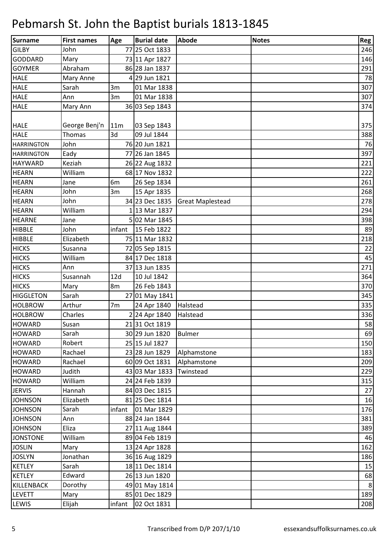| <b>Surname</b>    | <b>First names</b> | Age            | <b>Burial date</b> | Abode                   | <b>Notes</b> | Reg     |
|-------------------|--------------------|----------------|--------------------|-------------------------|--------------|---------|
| <b>GILBY</b>      | John               |                | 77 25 Oct 1833     |                         |              | 246     |
| <b>GODDARD</b>    | Mary               |                | 73 11 Apr 1827     |                         |              | 146     |
| <b>GOYMER</b>     | Abraham            |                | 86 28 Jan 1837     |                         |              | 291     |
| <b>HALE</b>       | Mary Anne          |                | 4 29 Jun 1821      |                         |              | 78      |
| <b>HALE</b>       | Sarah              | 3m             | 01 Mar 1838        |                         |              | 307     |
| <b>HALE</b>       | Ann                | 3m             | 01 Mar 1838        |                         |              | 307     |
| <b>HALE</b>       | Mary Ann           |                | 36 03 Sep 1843     |                         |              | 374     |
|                   |                    |                |                    |                         |              |         |
| <b>HALE</b>       | George Benj'n      | 11m            | 03 Sep 1843        |                         |              | 375     |
| <b>HALE</b>       | Thomas             | 3d             | 09 Jul 1844        |                         |              | 388     |
| <b>HARRINGTON</b> | John               |                | 76 20 Jun 1821     |                         |              | 76      |
| <b>HARRINGTON</b> | Eady               |                | 77 26 Jan 1845     |                         |              | 397     |
| <b>HAYWARD</b>    | Keziah             |                | 26 22 Aug 1832     |                         |              | 221     |
| <b>HEARN</b>      | William            |                | 68 17 Nov 1832     |                         |              | 222     |
| <b>HEARN</b>      | Jane               | 6 <sub>m</sub> | 26 Sep 1834        |                         |              | 261     |
| <b>HEARN</b>      | John               | 3m             | 15 Apr 1835        |                         |              | 268     |
| <b>HEARN</b>      | John               |                | 34 23 Dec 1835     | <b>Great Maplestead</b> |              | 278     |
| <b>HEARN</b>      | William            |                | 1 13 Mar 1837      |                         |              | 294     |
| <b>HEARNE</b>     | Jane               |                | 5 02 Mar 1845      |                         |              | 398     |
| <b>HIBBLE</b>     | John               | infant         | 15 Feb 1822        |                         |              | 89      |
| <b>HIBBLE</b>     | Elizabeth          |                | 75 11 Mar 1832     |                         |              | 218     |
| <b>HICKS</b>      | Susanna            |                | 72 05 Sep 1815     |                         |              | 22      |
| <b>HICKS</b>      | William            |                | 84 17 Dec 1818     |                         |              | 45      |
| <b>HICKS</b>      | Ann                |                | 37 13 Jun 1835     |                         |              | 271     |
| <b>HICKS</b>      | Susannah           | 12d            | 10 Jul 1842        |                         |              | 364     |
| <b>HICKS</b>      | Mary               | 8m             | 26 Feb 1843        |                         |              | 370     |
| <b>HIGGLETON</b>  | Sarah              |                | 27 01 May 1841     |                         |              | 345     |
| <b>HOLBROW</b>    | Arthur             | 7 <sub>m</sub> | 24 Apr 1840        | Halstead                |              | 335     |
| <b>HOLBROW</b>    | Charles            |                | 2 24 Apr 1840      | Halstead                |              | 336     |
| <b>HOWARD</b>     | Susan              |                | 21 31 Oct 1819     |                         |              | 58      |
| <b>HOWARD</b>     | Sarah              |                | 30 29 Jun 1820     | <b>Bulmer</b>           |              | 69      |
| <b>HOWARD</b>     | Robert             |                | 25 15 Jul 1827     |                         |              | 150     |
| <b>HOWARD</b>     | Rachael            |                | 23 28 Jun 1829     | Alphamstone             |              | 183     |
| <b>HOWARD</b>     | Rachael            |                | 60 09 Oct 1831     | Alphamstone             |              | 209     |
| <b>HOWARD</b>     | Judith             |                | 43 03 Mar 1833     | Twinstead               |              | 229     |
| <b>HOWARD</b>     | William            |                | 24 24 Feb 1839     |                         |              | 315     |
| <b>JERVIS</b>     | Hannah             |                | 84 03 Dec 1815     |                         |              | 27      |
| <b>JOHNSON</b>    | Elizabeth          |                | 81 25 Dec 1814     |                         |              | 16      |
| <b>JOHNSON</b>    | Sarah              | infant         | 01 Mar 1829        |                         |              | 176     |
| <b>JOHNSON</b>    | Ann                |                | 88 24 Jan 1844     |                         |              | 381     |
| <b>JOHNSON</b>    | Eliza              |                | 27 11 Aug 1844     |                         |              | 389     |
| <b>JONSTONE</b>   | William            |                | 89 04 Feb 1819     |                         |              | 46      |
| <b>JOSLIN</b>     | Mary               |                | 13 24 Apr 1828     |                         |              | 162     |
| <b>JOSLYN</b>     | Jonathan           |                | 36 16 Aug 1829     |                         |              | 186     |
| <b>KETLEY</b>     | Sarah              |                | 18 11 Dec 1814     |                         |              | 15      |
| <b>KETLEY</b>     | Edward             |                | 26 13 Jun 1820     |                         |              | 68      |
| KILLENBACK        | Dorothy            |                | 49 01 May 1814     |                         |              | $\bf 8$ |
| <b>LEVETT</b>     | Mary               |                | 85 01 Dec 1829     |                         |              | 189     |
| LEWIS             | Elijah             | infant         | 02 Oct 1831        |                         |              | 208     |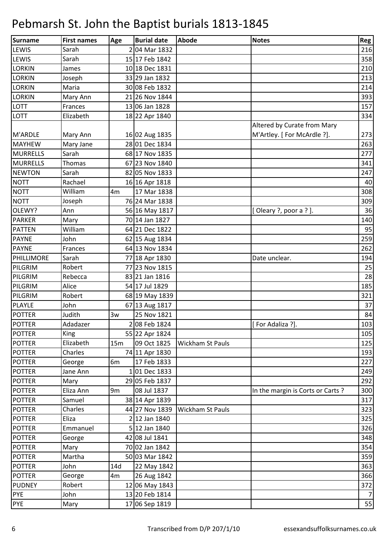| <b>Surname</b>  | <b>First names</b> | Age            | <b>Burial date</b> | <b>Abode</b>            | <b>Notes</b>                     | Reg |
|-----------------|--------------------|----------------|--------------------|-------------------------|----------------------------------|-----|
| LEWIS           | Sarah              |                | 2 04 Mar 1832      |                         |                                  | 216 |
| <b>LEWIS</b>    | Sarah              |                | 15 17 Feb 1842     |                         |                                  | 358 |
| <b>LORKIN</b>   | James              |                | 10 18 Dec 1831     |                         |                                  | 210 |
| <b>LORKIN</b>   | Joseph             |                | 33 29 Jan 1832     |                         |                                  | 213 |
| <b>LORKIN</b>   | Maria              |                | 30 08 Feb 1832     |                         |                                  | 214 |
| <b>LORKIN</b>   | Mary Ann           |                | 21 26 Nov 1844     |                         |                                  | 393 |
| <b>LOTT</b>     | Frances            |                | 13 06 Jan 1828     |                         |                                  | 157 |
| <b>LOTT</b>     | Elizabeth          |                | 18 22 Apr 1840     |                         |                                  | 334 |
|                 |                    |                |                    |                         | Altered by Curate from Mary      |     |
| M'ARDLE         | Mary Ann           |                | 16 02 Aug 1835     |                         | M'Artley. [ For McArdle ?].      | 273 |
| <b>MAYHEW</b>   | Mary Jane          |                | 28 01 Dec 1834     |                         |                                  | 263 |
| <b>MURRELLS</b> | Sarah              |                | 68 17 Nov 1835     |                         |                                  | 277 |
| <b>MURRELLS</b> | <b>Thomas</b>      |                | 67 23 Nov 1840     |                         |                                  | 341 |
| <b>NEWTON</b>   | Sarah              |                | 82 05 Nov 1833     |                         |                                  | 247 |
| <b>NOTT</b>     | Rachael            |                | 16 16 Apr 1818     |                         |                                  | 40  |
| <b>NOTT</b>     | William            | 4 <sub>m</sub> | 17 Mar 1838        |                         |                                  | 308 |
| <b>NOTT</b>     | Joseph             |                | 76 24 Mar 1838     |                         |                                  | 309 |
| OLEWY?          | Ann                |                | 56 16 May 1817     |                         | [Oleary ?, poor a ?].            | 36  |
| <b>PARKER</b>   | Mary               |                | 70 14 Jan 1827     |                         |                                  | 140 |
| <b>PATTEN</b>   | William            |                | 64 21 Dec 1822     |                         |                                  | 95  |
| <b>PAYNE</b>    | John               |                | 62 15 Aug 1834     |                         |                                  | 259 |
| <b>PAYNE</b>    | Frances            |                | 64 13 Nov 1834     |                         |                                  | 262 |
| PHILLIMORE      | Sarah              |                | 77 18 Apr 1830     |                         | Date unclear.                    | 194 |
| PILGRIM         | Robert             |                | 77 23 Nov 1815     |                         |                                  | 25  |
| PILGRIM         | Rebecca            |                | 83 21 Jan 1816     |                         |                                  | 28  |
| PILGRIM         | Alice              |                | 54 17 Jul 1829     |                         |                                  | 185 |
| PILGRIM         | Robert             |                | 68 19 May 1839     |                         |                                  | 321 |
| PLAYLE          | John               |                | 67 13 Aug 1817     |                         |                                  | 37  |
| <b>POTTER</b>   | Judith             | 3w             | 25 Nov 1821        |                         |                                  | 84  |
| <b>POTTER</b>   | Adadazer           |                | 2 08 Feb 1824      |                         | [For Adaliza ?].                 | 103 |
| <b>POTTER</b>   | King               |                | 55 22 Apr 1824     |                         |                                  | 105 |
| <b>POTTER</b>   | Elizabeth          | 15m            | 09 Oct 1825        | <b>Wickham St Pauls</b> |                                  | 125 |
| <b>POTTER</b>   | Charles            |                | 74 11 Apr 1830     |                         |                                  | 193 |
| <b>POTTER</b>   | George             | 6 <sub>m</sub> | 17 Feb 1833        |                         |                                  | 227 |
| <b>POTTER</b>   | Jane Ann           |                | 101 Dec 1833       |                         |                                  | 249 |
| <b>POTTER</b>   | Mary               |                | 29 05 Feb 1837     |                         |                                  | 292 |
| <b>POTTER</b>   | Eliza Ann          | 9 <sub>m</sub> | 08 Jul 1837        |                         | In the margin is Corts or Carts? | 300 |
| <b>POTTER</b>   | Samuel             |                | 38 14 Apr 1839     |                         |                                  | 317 |
| <b>POTTER</b>   | Charles            |                | 44 27 Nov 1839     | <b>Wickham St Pauls</b> |                                  | 323 |
| <b>POTTER</b>   | Eliza              |                | 2 12 Jan 1840      |                         |                                  | 325 |
| <b>POTTER</b>   | Emmanuel           |                | 5 12 Jan 1840      |                         |                                  | 326 |
| <b>POTTER</b>   | George             |                | 42 08 Jul 1841     |                         |                                  | 348 |
| <b>POTTER</b>   | Mary               |                | 70 02 Jan 1842     |                         |                                  | 354 |
| <b>POTTER</b>   | Martha             |                | 50 03 Mar 1842     |                         |                                  | 359 |
| <b>POTTER</b>   | John               | 14d            | 22 May 1842        |                         |                                  | 363 |
| <b>POTTER</b>   | George             | 4m             | 26 Aug 1842        |                         |                                  | 366 |
| <b>PUDNEY</b>   | Robert             |                | 12 06 May 1843     |                         |                                  | 372 |
| <b>PYE</b>      | John               |                | 13 20 Feb 1814     |                         |                                  | 7   |
| <b>PYE</b>      | Mary               |                | 17 06 Sep 1819     |                         |                                  | 55  |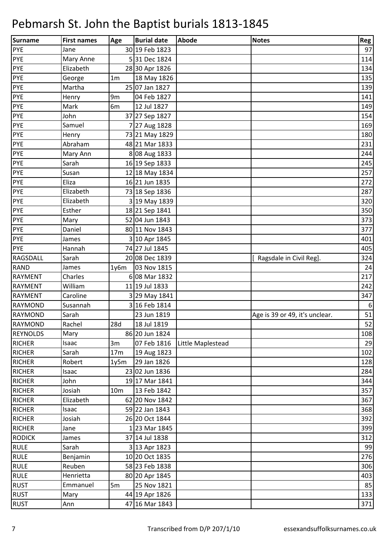| Surname         | <b>First names</b> | Age             | <b>Burial date</b> | <b>Abode</b>      | <b>Notes</b>                   | Reg              |
|-----------------|--------------------|-----------------|--------------------|-------------------|--------------------------------|------------------|
| <b>PYE</b>      | Jane               |                 | 30 19 Feb 1823     |                   |                                | 97               |
| <b>PYE</b>      | Mary Anne          |                 | 531 Dec 1824       |                   |                                | 114              |
| PYE             | Elizabeth          |                 | 28 30 Apr 1826     |                   |                                | 134              |
| <b>PYE</b>      | George             | 1 <sub>m</sub>  | 18 May 1826        |                   |                                | 135              |
| PYE             | Martha             |                 | 25 07 Jan 1827     |                   |                                | 139              |
| <b>PYE</b>      | Henry              | 9m              | 04 Feb 1827        |                   |                                | 141              |
| PYE             | Mark               | 6m              | 12 Jul 1827        |                   |                                | 149              |
| <b>PYE</b>      | John               |                 | 37 27 Sep 1827     |                   |                                | 154              |
| <b>PYE</b>      | Samuel             |                 | 7 27 Aug 1828      |                   |                                | 169              |
| PYE             | Henry              |                 | 73 21 May 1829     |                   |                                | 180              |
| <b>PYE</b>      | Abraham            |                 | 48 21 Mar 1833     |                   |                                | 231              |
| <b>PYE</b>      | Mary Ann           |                 | 8 08 Aug 1833      |                   |                                | 244              |
| <b>PYE</b>      | Sarah              |                 | 16 19 Sep 1833     |                   |                                | 245              |
| <b>PYE</b>      | Susan              |                 | 12 18 May 1834     |                   |                                | 257              |
| <b>PYE</b>      | Eliza              |                 | 16 21 Jun 1835     |                   |                                | 272              |
| <b>PYE</b>      | Elizabeth          |                 | 73 18 Sep 1836     |                   |                                | 287              |
| PYE             | Elizabeth          |                 | 3 19 May 1839      |                   |                                | 320              |
| <b>PYE</b>      | Esther             |                 | 18 21 Sep 1841     |                   |                                | 350              |
| <b>PYE</b>      | Mary               |                 | 52 04 Jun 1843     |                   |                                | 373              |
| PYE             | Daniel             |                 | 80 11 Nov 1843     |                   |                                | 377              |
| <b>PYE</b>      | James              |                 | 3 10 Apr 1845      |                   |                                | 401              |
| <b>PYE</b>      | Hannah             |                 | 74 27 Jul 1845     |                   |                                | 405              |
| <b>RAGSDALL</b> | Sarah              |                 | 20 08 Dec 1839     |                   | Ragsdale in Civil Reg].        | 324              |
| <b>RAND</b>     | James              | 1y6m            | 03 Nov 1815        |                   |                                | 24               |
| <b>RAYMENT</b>  | Charles            |                 | 6 08 Mar 1832      |                   |                                | 217              |
| <b>RAYMENT</b>  | William            |                 | 11 19 Jul 1833     |                   |                                | 242              |
| <b>RAYMENT</b>  | Caroline           |                 | 3 29 May 1841      |                   |                                | 347              |
| <b>RAYMOND</b>  | Susannah           |                 | 3 16 Feb 1814      |                   |                                | $\boldsymbol{6}$ |
| <b>RAYMOND</b>  | Sarah              |                 | 23 Jun 1819        |                   | Age is 39 or 49, it's unclear. | 51               |
| <b>RAYMOND</b>  | Rachel             | 28d             | 18 Jul 1819        |                   |                                | 52               |
| <b>REYNOLDS</b> | Mary               |                 | 86 20 Jun 1824     |                   |                                | 108              |
| <b>RICHER</b>   | Isaac              | 3m              | 07 Feb 1816        | Little Maplestead |                                | 29               |
| <b>RICHER</b>   | Sarah              | 17m             | 19 Aug 1823        |                   |                                | 102              |
| <b>RICHER</b>   | Robert             | 1y5m            | 29 Jan 1826        |                   |                                | 128              |
| <b>RICHER</b>   | Isaac              |                 | 23 02 Jun 1836     |                   |                                | 284              |
| <b>RICHER</b>   | John               |                 | 19 17 Mar 1841     |                   |                                | 344              |
| <b>RICHER</b>   | Josiah             | 10 <sub>m</sub> | 13 Feb 1842        |                   |                                | 357              |
| <b>RICHER</b>   | Elizabeth          |                 | 62 20 Nov 1842     |                   |                                | 367              |
| <b>RICHER</b>   | Isaac              |                 | 59 22 Jan 1843     |                   |                                | 368              |
| <b>RICHER</b>   | Josiah             |                 | 26 20 Oct 1844     |                   |                                | 392              |
| <b>RICHER</b>   | Jane               |                 | 123 Mar 1845       |                   |                                | 399              |
| <b>RODICK</b>   | James              |                 | 37 14 Jul 1838     |                   |                                | 312              |
| <b>RULE</b>     | Sarah              |                 | 3 13 Apr 1823      |                   |                                | 99               |
| <b>RULE</b>     | Benjamin           |                 | 10 20 Oct 1835     |                   |                                | 276              |
| <b>RULE</b>     | Reuben             |                 | 58 23 Feb 1838     |                   |                                | 306              |
| <b>RULE</b>     | Henrietta          |                 | 80 20 Apr 1845     |                   |                                | 403              |
| <b>RUST</b>     | Emmanuel           | 5m              | 25 Nov 1821        |                   |                                | 85               |
| <b>RUST</b>     | Mary               |                 | 44 19 Apr 1826     |                   |                                | 133              |
| <b>RUST</b>     | Ann                |                 | 47 16 Mar 1843     |                   |                                | 371              |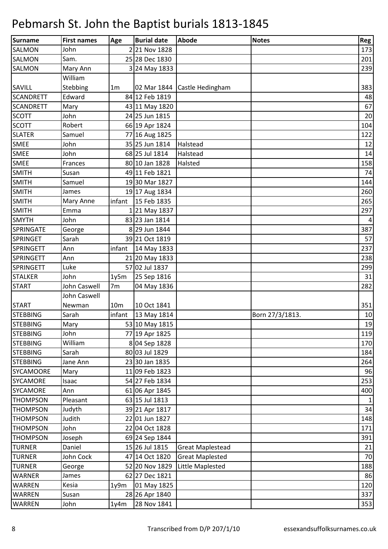| Surname          | <b>First names</b> | Age             | <b>Burial date</b> | Abode                          | <b>Notes</b>    | Reg            |
|------------------|--------------------|-----------------|--------------------|--------------------------------|-----------------|----------------|
| <b>SALMON</b>    | John               |                 | 221 Nov 1828       |                                |                 | 173            |
| <b>SALMON</b>    | Sam.               |                 | 25 28 Dec 1830     |                                |                 | 201            |
| <b>SALMON</b>    | Mary Ann           |                 | 3 24 May 1833      |                                |                 | 239            |
|                  | William            |                 |                    |                                |                 |                |
| SAVILL           | Stebbing           | 1 <sub>m</sub>  |                    | 02 Mar 1844   Castle Hedingham |                 | 383            |
| <b>SCANDRETT</b> | Edward             |                 | 84 12 Feb 1819     |                                |                 | 48             |
| <b>SCANDRETT</b> | Mary               |                 | 43 11 May 1820     |                                |                 | 67             |
| <b>SCOTT</b>     | John               |                 | 24 25 Jun 1815     |                                |                 | 20             |
| <b>SCOTT</b>     | Robert             |                 | 66 19 Apr 1824     |                                |                 | 104            |
| <b>SLATER</b>    | Samuel             |                 | 77 16 Aug 1825     |                                |                 | 122            |
| <b>SMEE</b>      | John               |                 | 35 25 Jun 1814     | Halstead                       |                 | 12             |
| <b>SMEE</b>      | John               |                 | 68 25 Jul 1814     | Halstead                       |                 | 14             |
| <b>SMEE</b>      | Frances            |                 | 80 10 Jan 1828     | Halsted                        |                 | 158            |
| <b>SMITH</b>     | Susan              |                 | 49 11 Feb 1821     |                                |                 | 74             |
| <b>SMITH</b>     | Samuel             |                 | 1930 Mar 1827      |                                |                 | 144            |
| <b>SMITH</b>     | James              |                 | 19 17 Aug 1834     |                                |                 | 260            |
| <b>SMITH</b>     | Mary Anne          | infant          | 15 Feb 1835        |                                |                 | 265            |
| <b>SMITH</b>     | Emma               |                 | 1 21 May 1837      |                                |                 | 297            |
| <b>SMYTH</b>     | John               |                 | 83 23 Jan 1814     |                                |                 | $\overline{a}$ |
| SPRINGATE        | George             |                 | 8 29 Jun 1844      |                                |                 | 387            |
| <b>SPRINGET</b>  | Sarah              |                 | 39 21 Oct 1819     |                                |                 | 57             |
| <b>SPRINGETT</b> | Ann                | infant          | 14 May 1833        |                                |                 | 237            |
| <b>SPRINGETT</b> | Ann                |                 | 21 20 May 1833     |                                |                 | 238            |
| <b>SPRINGETT</b> | Luke               |                 | 57 02 Jul 1837     |                                |                 | 299            |
| <b>STALKER</b>   | John               | 1y5m            | 25 Sep 1816        |                                |                 | 31             |
| <b>START</b>     | John Caswell       | 7m              | 04 May 1836        |                                |                 | 282            |
|                  | John Caswell       |                 |                    |                                |                 |                |
| <b>START</b>     | Newman             | 10 <sub>m</sub> | 10 Oct 1841        |                                |                 | 351            |
| <b>STEBBING</b>  | Sarah              | infant          | 13 May 1814        |                                | Born 27/3/1813. | 10             |
| <b>STEBBING</b>  | Mary               |                 | 53 10 May 1815     |                                |                 | 19             |
| <b>STEBBING</b>  | John               |                 | 77 19 Apr 1825     |                                |                 | 119            |
| <b>STEBBING</b>  | William            |                 | 8 04 Sep 1828      |                                |                 | 170            |
| <b>STEBBING</b>  | Sarah              |                 | 80 03 Jul 1829     |                                |                 | 184            |
| <b>STEBBING</b>  | Jane Ann           |                 | 23 30 Jan 1835     |                                |                 | 264            |
| <b>SYCAMOORE</b> | Mary               |                 | 11 09 Feb 1823     |                                |                 | 96             |
| <b>SYCAMORE</b>  | Isaac              |                 | 54 27 Feb 1834     |                                |                 | 253            |
| <b>SYCAMORE</b>  | Ann                |                 | 61 06 Apr 1845     |                                |                 | 400            |
| <b>THOMPSON</b>  | Pleasant           |                 | 63 15 Jul 1813     |                                |                 | $\mathbf{1}$   |
| <b>THOMPSON</b>  | Judyth             |                 | 39 21 Apr 1817     |                                |                 | 34             |
| <b>THOMPSON</b>  | Judith             |                 | 22 01 Jun 1827     |                                |                 | 148            |
| <b>THOMPSON</b>  | John               |                 | 22 04 Oct 1828     |                                |                 | 171            |
| <b>THOMPSON</b>  | Joseph             |                 | 69 24 Sep 1844     |                                |                 | 391            |
| <b>TURNER</b>    | Daniel             |                 | 15 26 Jul 1815     | <b>Great Maplestead</b>        |                 | 21             |
| <b>TURNER</b>    | John Cock          |                 | 47 14 Oct 1820     | <b>Great Maplested</b>         |                 | 70             |
| <b>TURNER</b>    | George             |                 | 52 20 Nov 1829     | Little Maplested               |                 | 188            |
| WARNER           | James              |                 | 62 27 Dec 1821     |                                |                 | 86             |
| WARREN           | Kesia              | 1y9m            | 01 May 1825        |                                |                 | 120            |
| <b>WARREN</b>    | Susan              |                 | 28 26 Apr 1840     |                                |                 | 337            |
| <b>WARREN</b>    | John               | 1y4m            | 28 Nov 1841        |                                |                 | 353            |